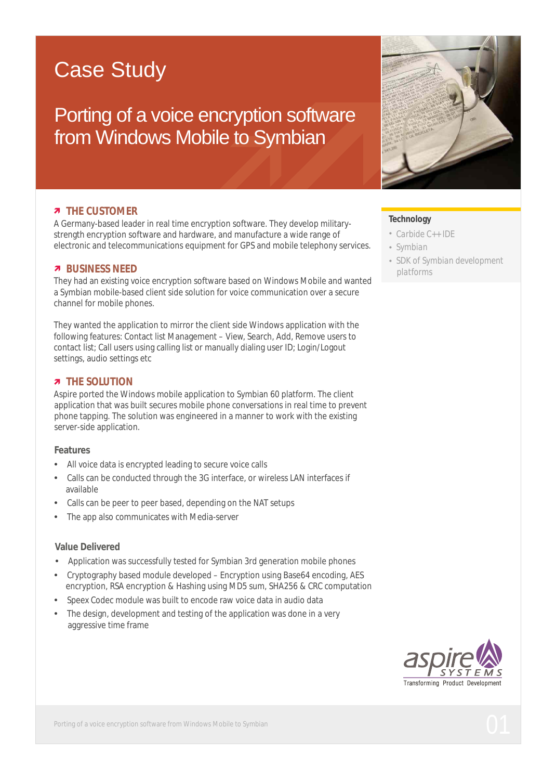# Case Study

Porting of a voice encryption software from Windows Mobile to Symbian

### *a* THE CUSTOMER

A Germany-based leader in real time encryption software. They develop militarystrength encryption software and hardware, and manufacture a wide range of electronic and telecommunications equipment for GPS and mobile telephony services.

#### *a* BUSINESS NEED

They had an existing voice encryption software based on Windows Mobile and wanted a Symbian mobile-based client side solution for voice communication over a secure channel for mobile phones.

They wanted the application to mirror the client side Windows application with the following features: Contact list Management – View, Search, Add, Remove users to contact list; Call users using calling list or manually dialing user ID; Login/Logout settings, audio settings etc

#### *n* THE SOLUTION

Aspire ported the Windows mobile application to Symbian 60 platform. The client application that was built secures mobile phone conversations in real time to prevent phone tapping. The solution was engineered in a manner to work with the existing server-side application.

#### **Features**

- All voice data is encrypted leading to secure voice calls
- Calls can be conducted through the 3G interface, or wireless LAN interfaces if available
- Calls can be peer to peer based, depending on the NAT setups
- The app also communicates with Media-server

#### **Value Delivered**

- Application was successfully tested for Symbian 3rd generation mobile phones
- Cryptography based module developed Encryption using Base64 encoding, AES encryption, RSA encryption & Hashing using MD5 sum, SHA256 & CRC computation
- Speex Codec module was built to encode raw voice data in audio data
- The design, development and testing of the application was done in a very aggressive time frame



#### **Technology**

- Carbide C++ IDE
- Symbian
- *SDK of Symbian development platforms*